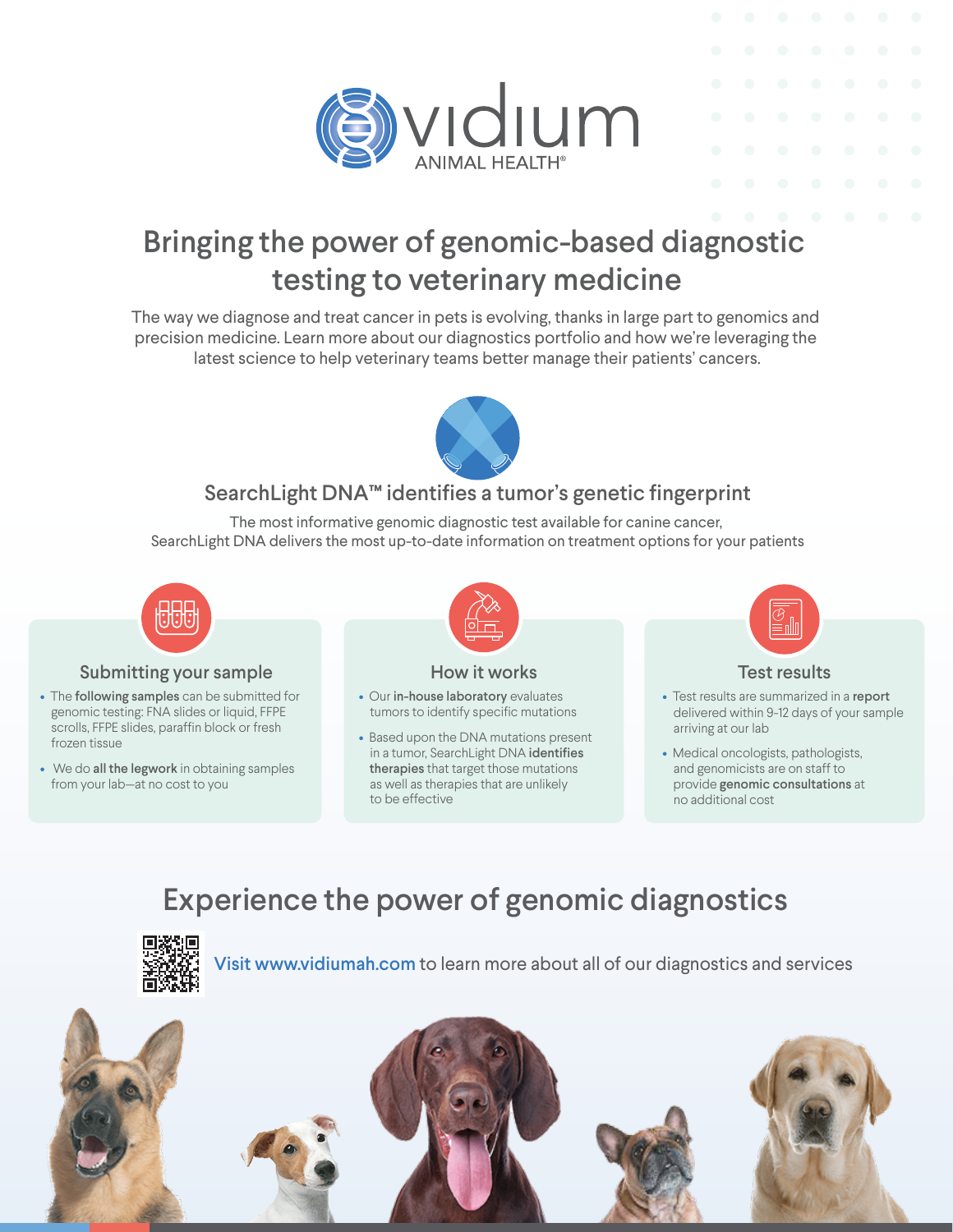

# Bringing the power of genomic-based diagnostic testing to veterinary medicine

The way we diagnose and treat cancer in pets is evolving, thanks in large part to genomics and precision medicine. Learn more about our diagnostics portfolio and how we're leveraging the latest science to help veterinary teams better manage their patients' cancers.



## SearchLight DNA™ identifies a tumor's genetic fingerprint

The most informative genomic diagnostic test available for canine cancer, SearchLight DNA delivers the most up-to-date information on treatment options for your patients



#### Submitting your sample

- The following samples can be submitted for genomic testing: FNA slides or liquid, FFPE scrolls, FFPE slides, paraffin block or fresh frozen tissue
- We do all the legwork in obtaining samples from your lab—at no cost to you



#### How it works

- Our in-house laboratory evaluates tumors to identify specific mutations
- Based upon the DNA mutations present in a tumor, SearchLight DNA identifies therapies that target those mutations as well as therapies that are unlikely to be effective



#### Test results

- Test results are summarized in a report delivered within 9-12 days of your sample arriving at our lab
- Medical oncologists, pathologists, and genomicists are on staff to provide genomic consultations at no additional cost

# Experience the power of genomic diagnostics



Visit www.vidiumah.com to learn more about all of our diagnostics and services